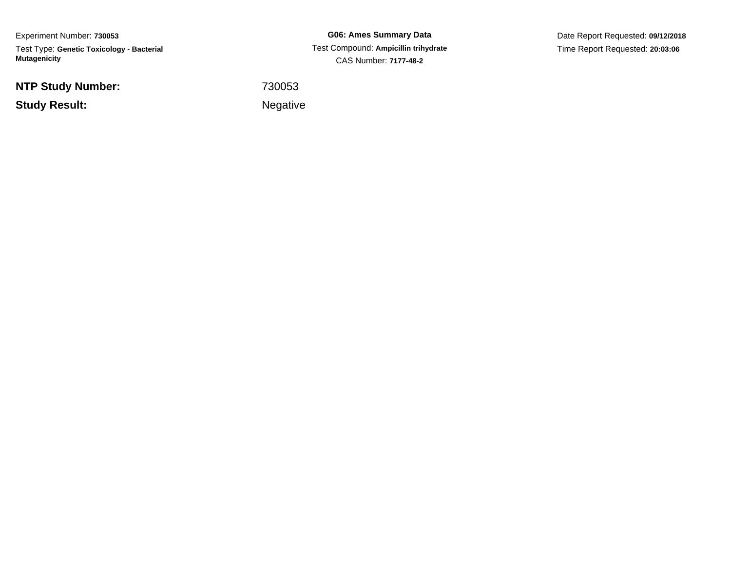Experiment Number: **730053**Test Type: **Genetic Toxicology - Bacterial Mutagenicity**

**NTP Study Number:**

**Study Result:**

**G06: Ames Summary Data** Test Compound: **Ampicillin trihydrate**CAS Number: **7177-48-2**

Date Report Requested: **09/12/2018**Time Report Requested: **20:03:06**

<sup>730053</sup>

Negative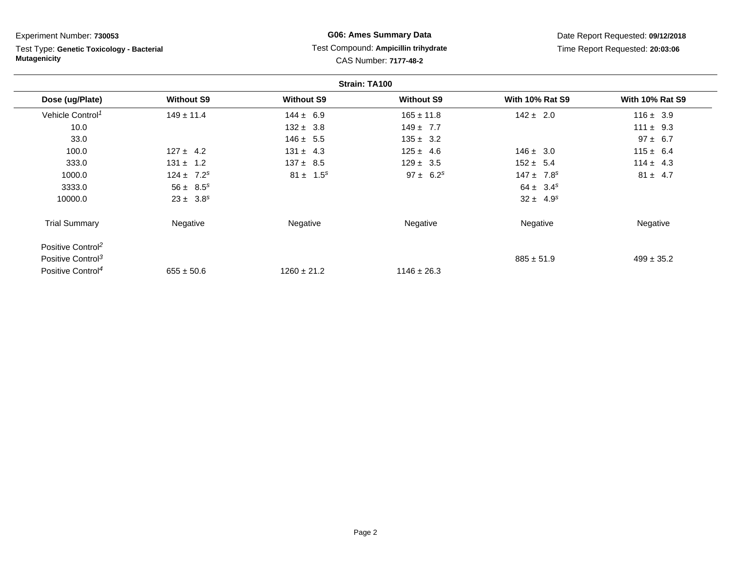Test Type: **Genetic Toxicology - Bacterial Mutagenicity**

## **G06: Ames Summary Data** Test Compound: **Ampicillin trihydrate**CAS Number: **7177-48-2**

|                               |                   |                   | Strain: TA100     |                            |                        |
|-------------------------------|-------------------|-------------------|-------------------|----------------------------|------------------------|
| Dose (ug/Plate)               | <b>Without S9</b> | <b>Without S9</b> | <b>Without S9</b> | <b>With 10% Rat S9</b>     | <b>With 10% Rat S9</b> |
| Vehicle Control <sup>1</sup>  | $149 \pm 11.4$    | $144 \pm 6.9$     | $165 \pm 11.8$    | $142 \pm 2.0$              | $116 \pm 3.9$          |
| 10.0                          |                   | $132 \pm 3.8$     | $149 \pm 7.7$     |                            | $111 \pm 9.3$          |
| 33.0                          |                   | $146 \pm 5.5$     | $135 \pm 3.2$     |                            | $97 \pm 6.7$           |
| 100.0                         | $127 \pm 4.2$     | $131 \pm 4.3$     | $125 \pm 4.6$     | $146 \pm 3.0$              | $115 \pm 6.4$          |
| 333.0                         | $131 \pm 1.2$     | $137 \pm 8.5$     | $129 \pm 3.5$     | $152 \pm 5.4$              | $114 \pm 4.3$          |
| 1000.0                        | $124 \pm 7.2^s$   | $81 \pm 1.5^s$    | $97 \pm 6.2^s$    | $147 \pm 7.8$ <sup>s</sup> | $81 \pm 4.7$           |
| 3333.0                        | $56 \pm 8.5^s$    |                   |                   | $64 \pm 3.4^s$             |                        |
| 10000.0                       | $23 \pm 3.8^s$    |                   |                   | $32 \pm 4.9^{s}$           |                        |
| <b>Trial Summary</b>          | Negative          | Negative          | Negative          | Negative                   | Negative               |
| Positive Control <sup>2</sup> |                   |                   |                   |                            |                        |
| Positive Control <sup>3</sup> |                   |                   |                   | $885 \pm 51.9$             | $499 \pm 35.2$         |
| Positive Control <sup>4</sup> | $655 \pm 50.6$    | $1260 \pm 21.2$   | $1146 \pm 26.3$   |                            |                        |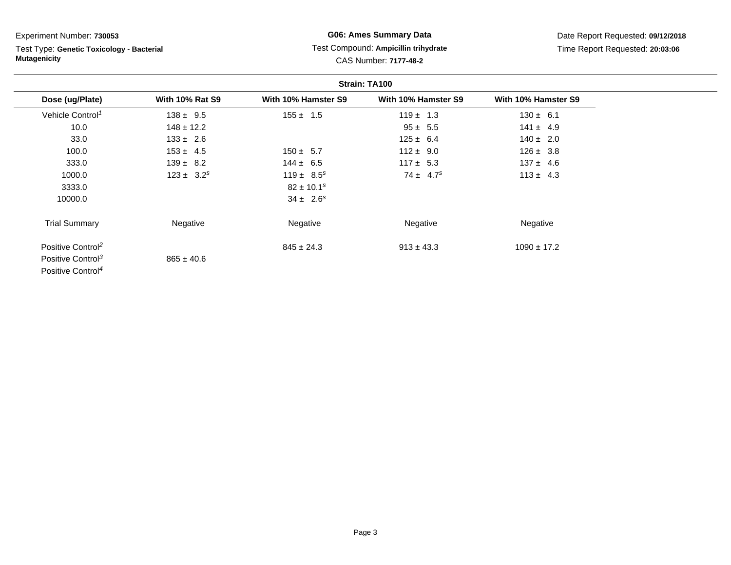Test Type: **Genetic Toxicology - Bacterial Mutagenicity**

# **G06: Ames Summary Data**Test Compound: **Ampicillin trihydrate**

|  | <b>CAS Number: 7177-48-2</b> |  |
|--|------------------------------|--|
|  |                              |  |

|                               |                        |                     | Strain: TA100       |                     |  |
|-------------------------------|------------------------|---------------------|---------------------|---------------------|--|
| Dose (ug/Plate)               | <b>With 10% Rat S9</b> | With 10% Hamster S9 | With 10% Hamster S9 | With 10% Hamster S9 |  |
| Vehicle Control <sup>1</sup>  | $138 \pm 9.5$          | $155 \pm 1.5$       | $119 \pm 1.3$       | $130 \pm 6.1$       |  |
| 10.0                          | $148 \pm 12.2$         |                     | $95 \pm 5.5$        | $141 \pm 4.9$       |  |
| 33.0                          | $133 \pm 2.6$          |                     | $125 \pm 6.4$       | $140 \pm 2.0$       |  |
| 100.0                         | $153 \pm 4.5$          | $150 \pm 5.7$       | $112 \pm 9.0$       | $126 \pm 3.8$       |  |
| 333.0                         | $139 \pm 8.2$          | $144 \pm 6.5$       | $117 \pm 5.3$       | $137 \pm 4.6$       |  |
| 1000.0                        | $123 \pm 3.2^s$        | $119 \pm 8.5^s$     | $74 \pm 4.7^s$      | $113 \pm 4.3$       |  |
| 3333.0                        |                        | $82 \pm 10.1^s$     |                     |                     |  |
| 10000.0                       |                        | $34 \pm 2.6^s$      |                     |                     |  |
| <b>Trial Summary</b>          | Negative               | Negative            | Negative            | Negative            |  |
| Positive Control <sup>2</sup> |                        | $845 \pm 24.3$      | $913 \pm 43.3$      | $1090 \pm 17.2$     |  |
| Positive Control <sup>3</sup> | $865 \pm 40.6$         |                     |                     |                     |  |
| Positive Control <sup>4</sup> |                        |                     |                     |                     |  |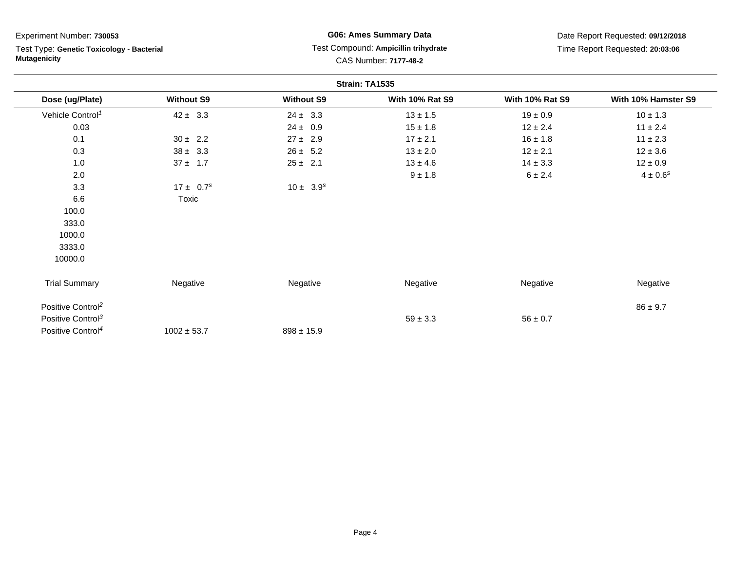| Experiment Number: 730053<br>Test Type: Genetic Toxicology - Bacterial<br><b>Mutagenicity</b> |                   | <b>G06: Ames Summary Data</b><br>Test Compound: Ampicillin trihydrate<br>CAS Number: 7177-48-2 |                        | Date Report Requested: 09/12/2018<br>Time Report Requested: 20:03:06 |                     |
|-----------------------------------------------------------------------------------------------|-------------------|------------------------------------------------------------------------------------------------|------------------------|----------------------------------------------------------------------|---------------------|
|                                                                                               |                   |                                                                                                |                        |                                                                      |                     |
|                                                                                               |                   |                                                                                                | Strain: TA1535         |                                                                      |                     |
| Dose (ug/Plate)                                                                               | <b>Without S9</b> | <b>Without S9</b>                                                                              | <b>With 10% Rat S9</b> | <b>With 10% Rat S9</b>                                               | With 10% Hamster S9 |
| Vehicle Control <sup>1</sup>                                                                  | $42 \pm 3.3$      | $24 \pm 3.3$                                                                                   | $13 \pm 1.5$           | $19 \pm 0.9$                                                         | $10 \pm 1.3$        |
| 0.03                                                                                          |                   | $24 \pm 0.9$                                                                                   | $15 \pm 1.8$           | $12 \pm 2.4$                                                         | $11 \pm 2.4$        |
| 0.1                                                                                           | $30 \pm 2.2$      | $27 \pm 2.9$                                                                                   | $17 \pm 2.1$           | $16 \pm 1.8$                                                         | $11 \pm 2.3$        |
| 0.3                                                                                           | $38 \pm 3.3$      | $26 \pm 5.2$                                                                                   | $13 \pm 2.0$           | $12 \pm 2.1$                                                         | $12 \pm 3.6$        |
| 1.0                                                                                           | $37 \pm 1.7$      | $25 \pm 2.1$                                                                                   | $13 \pm 4.6$           | $14 \pm 3.3$                                                         | $12 \pm 0.9$        |
| 2.0                                                                                           |                   |                                                                                                | $9 \pm 1.8$            | 6 ± 2.4                                                              | $4\pm0.6^s$         |
| 3.3                                                                                           | $17 \pm 0.7^s$    | $10 \pm 3.9^s$                                                                                 |                        |                                                                      |                     |
| 6.6                                                                                           | Toxic             |                                                                                                |                        |                                                                      |                     |
| 100.0                                                                                         |                   |                                                                                                |                        |                                                                      |                     |
| 333.0                                                                                         |                   |                                                                                                |                        |                                                                      |                     |
| 1000.0                                                                                        |                   |                                                                                                |                        |                                                                      |                     |
| 3333.0                                                                                        |                   |                                                                                                |                        |                                                                      |                     |
| 10000.0                                                                                       |                   |                                                                                                |                        |                                                                      |                     |
| <b>Trial Summary</b>                                                                          | Negative          | Negative                                                                                       | Negative               | Negative                                                             | Negative            |
| Positive Control <sup>2</sup>                                                                 |                   |                                                                                                |                        |                                                                      | $86 \pm 9.7$        |
| Positive Control <sup>3</sup>                                                                 |                   |                                                                                                | $59 \pm 3.3$           | $56 \pm 0.7$                                                         |                     |
| Positive Control <sup>4</sup>                                                                 | $1002 \pm 53.7$   | $898 \pm 15.9$                                                                                 |                        |                                                                      |                     |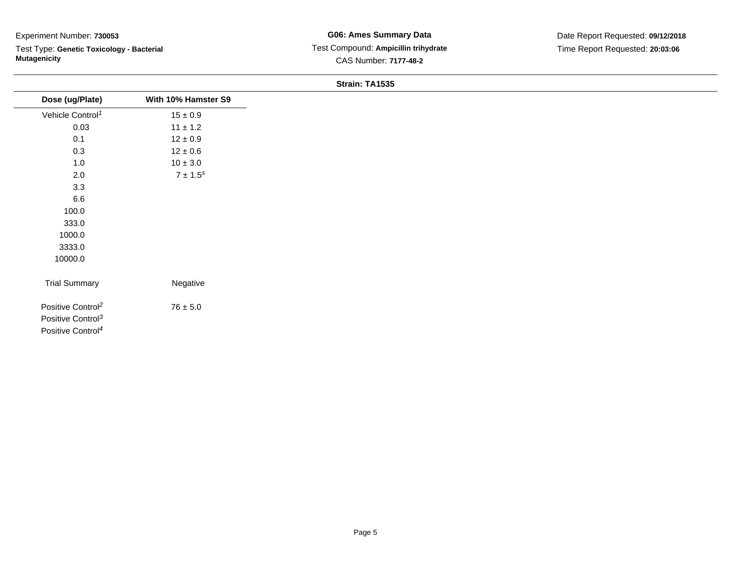Test Type: **Genetic Toxicology - Bacterial Mutagenicity**

**G06: Ames Summary Data** Test Compound: **Ampicillin trihydrate**CAS Number: **7177-48-2**

Date Report Requested: **09/12/2018**Time Report Requested: **20:03:06**

#### **Strain: TA1535**

| Dose (ug/Plate)               | With 10% Hamster S9 |
|-------------------------------|---------------------|
| Vehicle Control <sup>1</sup>  | $15\pm0.9$          |
| 0.03                          | $11 \pm 1.2$        |
| 0.1                           | $12\pm0.9$          |
| 0.3                           | $12\pm0.6$          |
| 1.0                           | $10\pm3.0$          |
| $2.0\,$                       | $7\pm1.5^s$         |
| 3.3                           |                     |
| $6.6\,$                       |                     |
| 100.0                         |                     |
| 333.0                         |                     |
| 1000.0                        |                     |
| 3333.0                        |                     |
| 10000.0                       |                     |
|                               |                     |
| <b>Trial Summary</b>          | Negative            |
| Positive Control <sup>2</sup> | $76\pm5.0$          |
| Positive Control <sup>3</sup> |                     |
| Positive Control <sup>4</sup> |                     |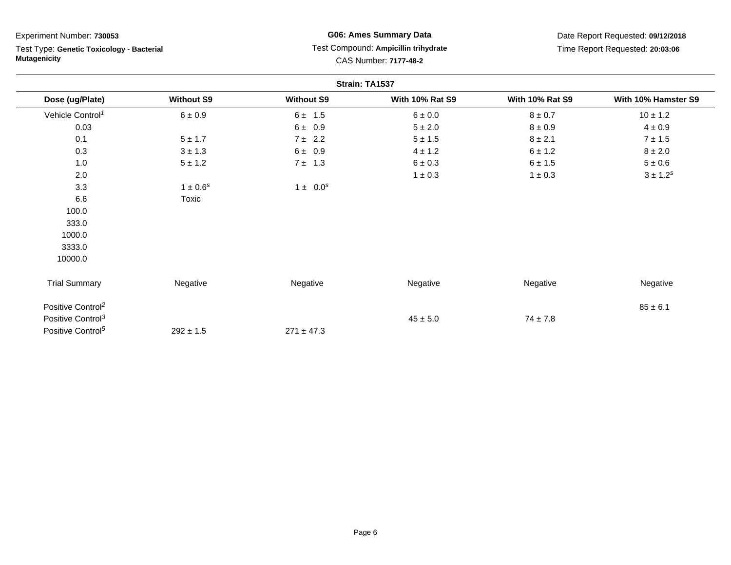| Experiment Number: 730053     |                                           |                   | <b>G06: Ames Summary Data</b>                                 |                        | Date Report Requested: 09/12/2018 |  |
|-------------------------------|-------------------------------------------|-------------------|---------------------------------------------------------------|------------------------|-----------------------------------|--|
| <b>Mutagenicity</b>           | Test Type: Genetic Toxicology - Bacterial |                   | Test Compound: Ampicillin trihydrate<br>CAS Number: 7177-48-2 |                        | Time Report Requested: 20:03:06   |  |
|                               |                                           | Strain: TA1537    |                                                               |                        |                                   |  |
| Dose (ug/Plate)               | <b>Without S9</b>                         | <b>Without S9</b> | <b>With 10% Rat S9</b>                                        | <b>With 10% Rat S9</b> | With 10% Hamster S9               |  |
| Vehicle Control <sup>1</sup>  | $6 \pm 0.9$                               | $6 \pm 1.5$       | $6\pm0.0$                                                     | $8\pm0.7$              | $10 \pm 1.2$                      |  |
| 0.03                          |                                           | 6 ± 0.9           | $5 \pm 2.0$                                                   | $8\pm0.9$              | $4 \pm 0.9$                       |  |
| 0.1                           | $5 \pm 1.7$                               | 7 ± 2.2           | $5 \pm 1.5$                                                   | $8 \pm 2.1$            | $7 \pm 1.5$                       |  |
| 0.3                           | $3 \pm 1.3$                               | $6 \pm 0.9$       | $4 \pm 1.2$                                                   | 6 ± 1.2                | $8\pm2.0$                         |  |
| 1.0                           | $5 \pm 1.2$                               | $7 \pm 1.3$       | $6 \pm 0.3$                                                   | 6 ± 1.5                | $5\pm0.6$                         |  |
| 2.0                           |                                           |                   | $1 \pm 0.3$                                                   | $1 \pm 0.3$            | $3 \pm 1.2^{s}$                   |  |
| 3.3                           | $1 \pm 0.6^s$                             | $1 \pm 0.0^s$     |                                                               |                        |                                   |  |
| 6.6                           | Toxic                                     |                   |                                                               |                        |                                   |  |
| 100.0                         |                                           |                   |                                                               |                        |                                   |  |
| 333.0                         |                                           |                   |                                                               |                        |                                   |  |
| 1000.0                        |                                           |                   |                                                               |                        |                                   |  |
| 3333.0                        |                                           |                   |                                                               |                        |                                   |  |
| 10000.0                       |                                           |                   |                                                               |                        |                                   |  |
| <b>Trial Summary</b>          | Negative                                  | Negative          | Negative                                                      | Negative               | Negative                          |  |
| Positive Control <sup>2</sup> |                                           |                   |                                                               |                        | $85 \pm 6.1$                      |  |
| Positive Control <sup>3</sup> |                                           |                   | $45 \pm 5.0$                                                  | $74 \pm 7.8$           |                                   |  |
| Positive Control <sup>5</sup> | $292 \pm 1.5$                             | $271 \pm 47.3$    |                                                               |                        |                                   |  |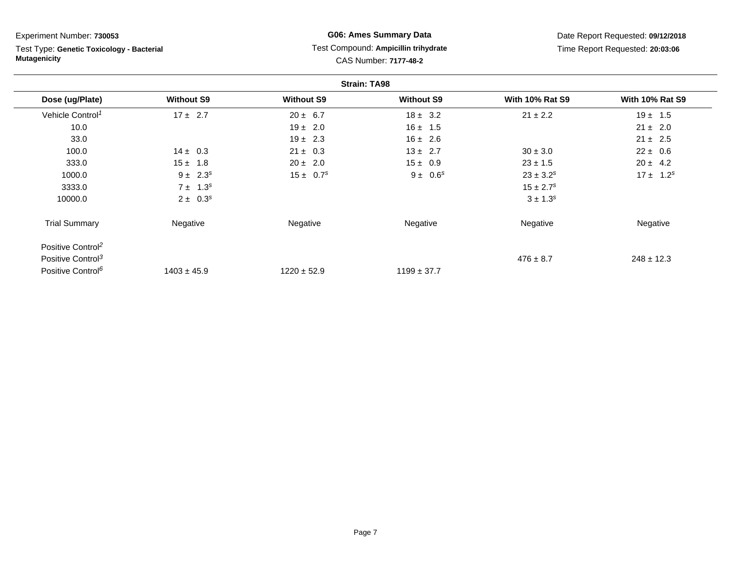Test Type: **Genetic Toxicology - Bacterial Mutagenicity**

## **G06: Ames Summary Data** Test Compound: **Ampicillin trihydrate**CAS Number: **7177-48-2**

|                               |                   |                   | <b>Strain: TA98</b> |                        |                        |
|-------------------------------|-------------------|-------------------|---------------------|------------------------|------------------------|
| Dose (ug/Plate)               | <b>Without S9</b> | <b>Without S9</b> | <b>Without S9</b>   | <b>With 10% Rat S9</b> | <b>With 10% Rat S9</b> |
| Vehicle Control <sup>1</sup>  | $17 \pm 2.7$      | $20 \pm 6.7$      | $18 \pm 3.2$        | $21 \pm 2.2$           | $19 \pm 1.5$           |
| 10.0                          |                   | $19 \pm 2.0$      | $16 \pm 1.5$        |                        | $21 \pm 2.0$           |
| 33.0                          |                   | $19 \pm 2.3$      | $16 \pm 2.6$        |                        | $21 \pm 2.5$           |
| 100.0                         | $14 \pm 0.3$      | $21 \pm 0.3$      | $13 \pm 2.7$        | $30 \pm 3.0$           | $22 \pm 0.6$           |
| 333.0                         | $15 \pm 1.8$      | $20 \pm 2.0$      | $15 \pm 0.9$        | $23 \pm 1.5$           | $20 \pm 4.2$           |
| 1000.0                        | $9 \pm 2.3^s$     | $15 \pm 0.7^s$    | $9 \pm 0.6^s$       | $23 \pm 3.2^s$         | $17 \pm 1.2^s$         |
| 3333.0                        | $7 \pm 1.3^s$     |                   |                     | $15 \pm 2.7^s$         |                        |
| 10000.0                       | $2 \pm 0.3^s$     |                   |                     | $3 \pm 1.3^{s}$        |                        |
| <b>Trial Summary</b>          | Negative          | Negative          | Negative            | Negative               | Negative               |
| Positive Control <sup>2</sup> |                   |                   |                     |                        |                        |
| Positive Control <sup>3</sup> |                   |                   |                     | $476 \pm 8.7$          | $248 \pm 12.3$         |
| Positive Control <sup>6</sup> | $1403 \pm 45.9$   | $1220 \pm 52.9$   | $1199 \pm 37.7$     |                        |                        |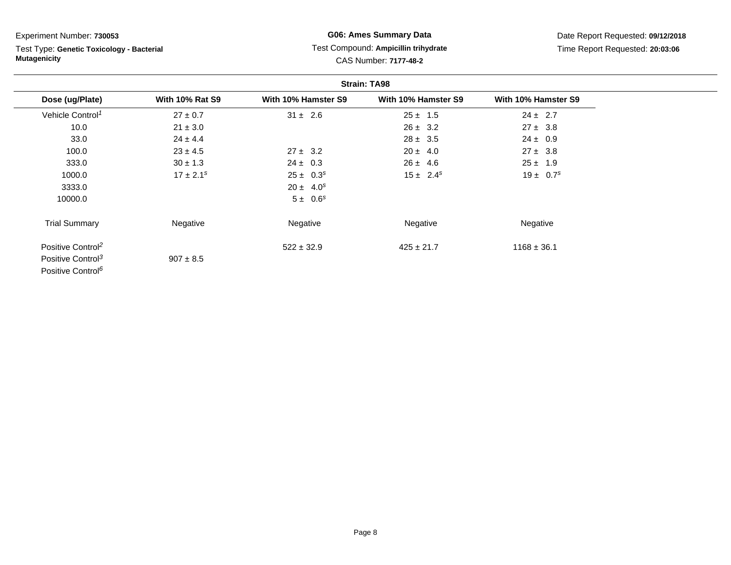Test Type: **Genetic Toxicology - Bacterial Mutagenicity**

## **G06: Ames Summary Data** Test Compound: **Ampicillin trihydrate**CAS Number: **7177-48-2**

| <b>Strain: TA98</b>           |                        |                     |                     |                     |
|-------------------------------|------------------------|---------------------|---------------------|---------------------|
| Dose (ug/Plate)               | <b>With 10% Rat S9</b> | With 10% Hamster S9 | With 10% Hamster S9 | With 10% Hamster S9 |
| Vehicle Control <sup>1</sup>  | $27 \pm 0.7$           | $31 \pm 2.6$        | $25 \pm 1.5$        | $24 \pm 2.7$        |
| 10.0                          | $21 \pm 3.0$           |                     | $26 \pm 3.2$        | $27 \pm 3.8$        |
| 33.0                          | $24 \pm 4.4$           |                     | $28 \pm 3.5$        | $24 \pm 0.9$        |
| 100.0                         | $23 \pm 4.5$           | $27 \pm 3.2$        | $20 \pm 4.0$        | $27 \pm 3.8$        |
| 333.0                         | $30 \pm 1.3$           | $24 \pm 0.3$        | $26 \pm 4.6$        | $25 \pm 1.9$        |
| 1000.0                        | $17 \pm 2.1^s$         | $25 \pm 0.3^s$      | $15 \pm 2.4^s$      | $19 \pm 0.7^s$      |
| 3333.0                        |                        | $20 \pm 4.0^s$      |                     |                     |
| 10000.0                       |                        | $5 \pm 0.6^s$       |                     |                     |
| <b>Trial Summary</b>          | Negative               | Negative            | Negative            | Negative            |
| Positive Control <sup>2</sup> |                        | $522 \pm 32.9$      | $425 \pm 21.7$      | $1168 \pm 36.1$     |
| Positive Control <sup>3</sup> | $907 \pm 8.5$          |                     |                     |                     |
| Positive Control <sup>6</sup> |                        |                     |                     |                     |